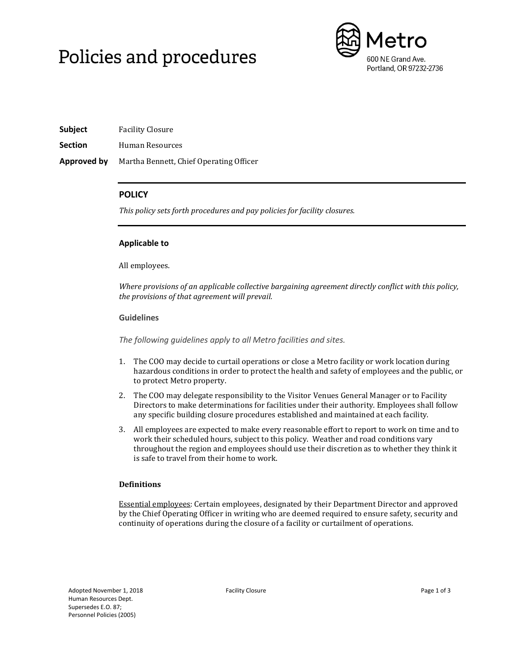# Policies and procedures



**Subject** Facility Closure

**Section** Human Resources

**Approved by** Martha Bennett, Chief Operating Officer

# **POLICY**

*This policy sets forth procedures and pay policies for facility closures.*

## **Applicable to**

All employees.

*Where provisions of an applicable collective bargaining agreement directly conflict with this policy, the provisions of that agreement will prevail.*

## **Guidelines**

*The following guidelines apply to all Metro facilities and sites.*

- 1. The COO may decide to curtail operations or close a Metro facility or work location during hazardous conditions in order to protect the health and safety of employees and the public, or to protect Metro property.
- 2. The COO may delegate responsibility to the Visitor Venues General Manager or to Facility Directors to make determinations for facilities under their authority. Employees shall follow any specific building closure procedures established and maintained at each facility.
- 3. All employees are expected to make every reasonable effort to report to work on time and to work their scheduled hours, subject to this policy. Weather and road conditions vary throughout the region and employees should use their discretion as to whether they think it is safe to travel from their home to work.

# **Definitions**

Essential employees: Certain employees, designated by their Department Director and approved by the Chief Operating Officer in writing who are deemed required to ensure safety, security and continuity of operations during the closure of a facility or curtailment of operations.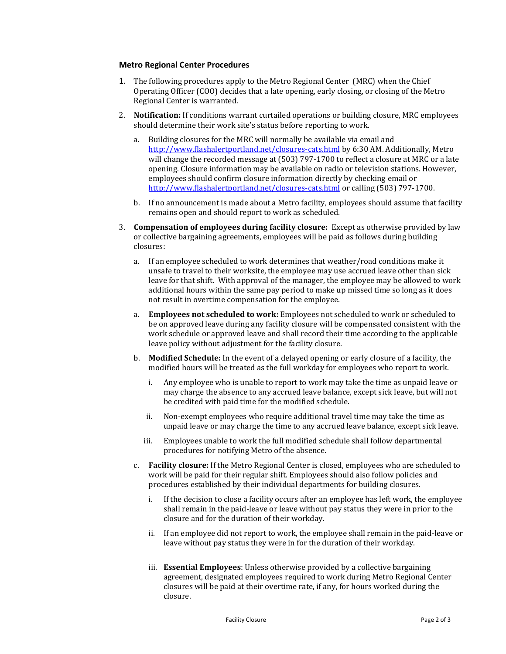#### **Metro Regional Center Procedures**

- 1. The following procedures apply to the Metro Regional Center (MRC) when the Chief Operating Officer (COO) decides that a late opening, early closing, or closing of the Metro Regional Center is warranted.
- 2. **Notification:** If conditions warrant curtailed operations or building closure, MRC employees should determine their work site's status before reporting to work.
	- a. Building closures for the MRC will normally be available via email and <http://www.flashalertportland.net/closures-cats.html> by 6:30 AM. Additionally, Metro will change the recorded message at (503) 797-1700 to reflect a closure at MRC or a late opening. Closure information may be available on radio or television stations. However, employees should confirm closure information directly by checking email or <http://www.flashalertportland.net/closures-cats.html> or calling (503) 797-1700.
	- b. If no announcement is made about a Metro facility, employees should assume that facility remains open and should report to work as scheduled.
- 3. **Compensation of employees during facility closure:** Except as otherwise provided by law or collective bargaining agreements, employees will be paid as follows during building closures:
	- a. If an employee scheduled to work determines that weather/road conditions make it unsafe to travel to their worksite, the employee may use accrued leave other than sick leave for that shift. With approval of the manager, the employee may be allowed to work additional hours within the same pay period to make up missed time so long as it does not result in overtime compensation for the employee.
	- a. **Employees not scheduled to work:** Employees not scheduled to work or scheduled to be on approved leave during any facility closure will be compensated consistent with the work schedule or approved leave and shall record their time according to the applicable leave policy without adjustment for the facility closure.
	- b. **Modified Schedule:** In the event of a delayed opening or early closure of a facility, the modified hours will be treated as the full workday for employees who report to work.
		- i. Any employee who is unable to report to work may take the time as unpaid leave or may charge the absence to any accrued leave balance, except sick leave, but will not be credited with paid time for the modified schedule.
		- ii. Non-exempt employees who require additional travel time may take the time as unpaid leave or may charge the time to any accrued leave balance, except sick leave.
		- iii. Employees unable to work the full modified schedule shall follow departmental procedures for notifying Metro of the absence.
	- c. **Facility closure:** If the Metro Regional Center is closed, employees who are scheduled to work will be paid for their regular shift. Employees should also follow policies and procedures established by their individual departments for building closures.
		- i. If the decision to close a facility occurs after an employee has left work, the employee shall remain in the paid-leave or leave without pay status they were in prior to the closure and for the duration of their workday.
		- ii. If an employee did not report to work, the employee shall remain in the paid-leave or leave without pay status they were in for the duration of their workday.
		- iii. **Essential Employees**: Unless otherwise provided by a collective bargaining agreement, designated employees required to work during Metro Regional Center closures will be paid at their overtime rate, if any, for hours worked during the closure.